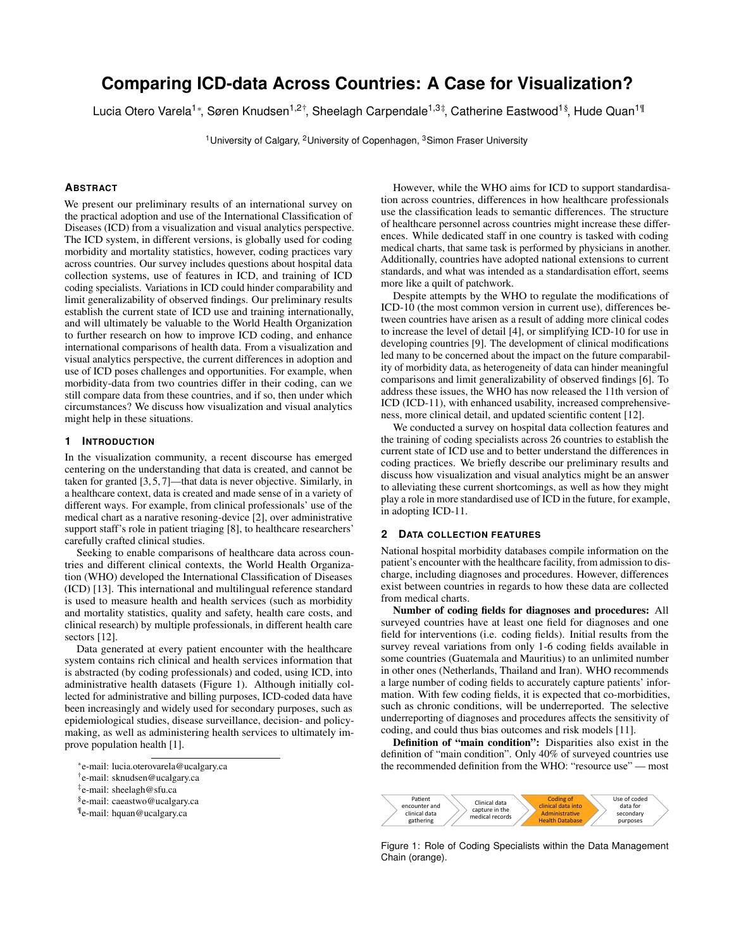# **Comparing ICD-data Across Countries: A Case for Visualization?**

Lucia Otero Varela<sup>1\*</sup>, Søren Knudsen<sup>1,2†</sup>, Sheelagh Carpendale<sup>1,3‡</sup>, Catherine Eastwood<sup>1§</sup>, Hude Quan<sup>1¶</sup>

<sup>1</sup> University of Calgary, <sup>2</sup> University of Copenhagen, <sup>3</sup> Simon Fraser University

## **ABSTRACT**

We present our preliminary results of an international survey on the practical adoption and use of the International Classification of Diseases (ICD) from a visualization and visual analytics perspective. The ICD system, in different versions, is globally used for coding morbidity and mortality statistics, however, coding practices vary across countries. Our survey includes questions about hospital data collection systems, use of features in ICD, and training of ICD coding specialists. Variations in ICD could hinder comparability and limit generalizability of observed findings. Our preliminary results establish the current state of ICD use and training internationally, and will ultimately be valuable to the World Health Organization to further research on how to improve ICD coding, and enhance international comparisons of health data. From a visualization and visual analytics perspective, the current differences in adoption and use of ICD poses challenges and opportunities. For example, when morbidity-data from two countries differ in their coding, can we still compare data from these countries, and if so, then under which circumstances? We discuss how visualization and visual analytics might help in these situations.

# **1 INTRODUCTION**

In the visualization community, a recent discourse has emerged centering on the understanding that data is created, and cannot be taken for granted [\[3,](#page-1-0) [5,](#page-1-1) [7\]](#page-1-2)—that data is never objective. Similarly, in a healthcare context, data is created and made sense of in a variety of different ways. For example, from clinical professionals' use of the medical chart as a narative resoning-device [\[2\]](#page-1-3), over administrative support staff's role in patient triaging [\[8\]](#page-1-4), to healthcare researchers' carefully crafted clinical studies.

Seeking to enable comparisons of healthcare data across countries and different clinical contexts, the World Health Organization (WHO) developed the International Classification of Diseases (ICD) [\[13\]](#page-1-5). This international and multilingual reference standard is used to measure health and health services (such as morbidity and mortality statistics, quality and safety, health care costs, and clinical research) by multiple professionals, in different health care sectors [\[12\]](#page-1-6).

Data generated at every patient encounter with the healthcare system contains rich clinical and health services information that is abstracted (by coding professionals) and coded, using ICD, into administrative health datasets (Figure 1). Although initially collected for administrative and billing purposes, ICD-coded data have been increasingly and widely used for secondary purposes, such as epidemiological studies, disease surveillance, decision- and policymaking, as well as administering health services to ultimately improve population health [\[1\]](#page-1-7).

However, while the WHO aims for ICD to support standardisation across countries, differences in how healthcare professionals use the classification leads to semantic differences. The structure of healthcare personnel across countries might increase these differences. While dedicated staff in one country is tasked with coding medical charts, that same task is performed by physicians in another. Additionally, countries have adopted national extensions to current standards, and what was intended as a standardisation effort, seems more like a quilt of patchwork.

Despite attempts by the WHO to regulate the modifications of ICD-10 (the most common version in current use), differences between countries have arisen as a result of adding more clinical codes to increase the level of detail [\[4\]](#page-1-8), or simplifying ICD-10 for use in developing countries [\[9\]](#page-1-9). The development of clinical modifications led many to be concerned about the impact on the future comparability of morbidity data, as heterogeneity of data can hinder meaningful comparisons and limit generalizability of observed findings [\[6\]](#page-1-10). To address these issues, the WHO has now released the 11th version of ICD (ICD-11), with enhanced usability, increased comprehensiveness, more clinical detail, and updated scientific content [\[12\]](#page-1-6).

We conducted a survey on hospital data collection features and the training of coding specialists across 26 countries to establish the current state of ICD use and to better understand the differences in coding practices. We briefly describe our preliminary results and discuss how visualization and visual analytics might be an answer to alleviating these current shortcomings, as well as how they might play a role in more standardised use of ICD in the future, for example, in adopting ICD-11.

### **2 DATA COLLECTION FEATURES**

National hospital morbidity databases compile information on the patient's encounter with the healthcare facility, from admission to discharge, including diagnoses and procedures. However, differences exist between countries in regards to how these data are collected from medical charts.

Number of coding fields for diagnoses and procedures: All surveyed countries have at least one field for diagnoses and one field for interventions (i.e. coding fields). Initial results from the survey reveal variations from only 1-6 coding fields available in some countries (Guatemala and Mauritius) to an unlimited number in other ones (Netherlands, Thailand and Iran). WHO recommends a large number of coding fields to accurately capture patients' information. With few coding fields, it is expected that co-morbidities, such as chronic conditions, will be underreported. The selective underreporting of diagnoses and procedures affects the sensitivity of coding, and could thus bias outcomes and risk models [\[11\]](#page-1-11).

Definition of "main condition": Disparities also exist in the definition of "main condition". Only 40% of surveyed countries use the recommended definition from the WHO: "resource use" — most



Figure 1: Role of Coding Specialists within the Data Management Chain (orange).

<sup>\*</sup>e-mail: lucia.oterovarela@ucalgary.ca

<sup>†</sup> e-mail: sknudsen@ucalgary.ca

<sup>‡</sup> e-mail: sheelagh@sfu.ca

<sup>§</sup> e-mail: caeastwo@ucalgary.ca

<sup>¶</sup> e-mail: hquan@ucalgary.ca